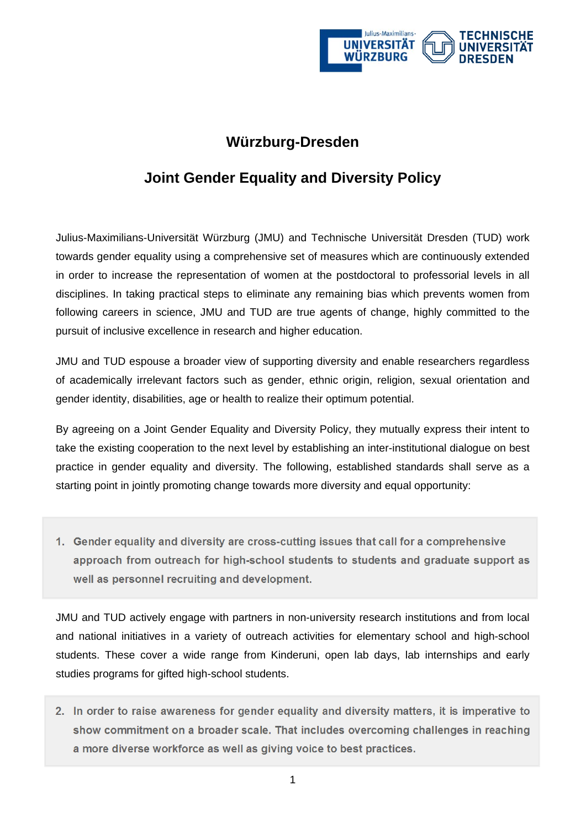

## **Würzburg-Dresden**

## **Joint Gender Equality and Diversity Policy**

Julius-Maximilians-Universität Würzburg (JMU) and Technische Universität Dresden (TUD) work towards gender equality using a comprehensive set of measures which are continuously extended in order to increase the representation of women at the postdoctoral to professorial levels in all disciplines. In taking practical steps to eliminate any remaining bias which prevents women from following careers in science, JMU and TUD are true agents of change, highly committed to the pursuit of inclusive excellence in research and higher education.

JMU and TUD espouse a broader view of supporting diversity and enable researchers regardless of academically irrelevant factors such as gender, ethnic origin, religion, sexual orientation and gender identity, disabilities, age or health to realize their optimum potential.

By agreeing on a Joint Gender Equality and Diversity Policy, they mutually express their intent to take the existing cooperation to the next level by establishing an inter-institutional dialogue on best practice in gender equality and diversity. The following, established standards shall serve as a starting point in jointly promoting change towards more diversity and equal opportunity:

**1. Gender equality and diversity are cross-cutting issues that call for a comprehensive approach from outreach for high-school students to students and graduate support as well as personnel recruiting and development.** 

JMU and TUD actively engage with partners in non-university research institutions and from local and national initiatives in a variety of outreach activities for elementary school and high-school students. These cover a wide range from Kinderuni, open lab days, lab internships and early studies programs for gifted high-school students.

**2. In order to raise awareness for gender equality and diversity matters, it is imperative to show commitment on a broader scale. That includes overcoming challenges in reaching a more diverse workforce as well as giving voice to best practices.**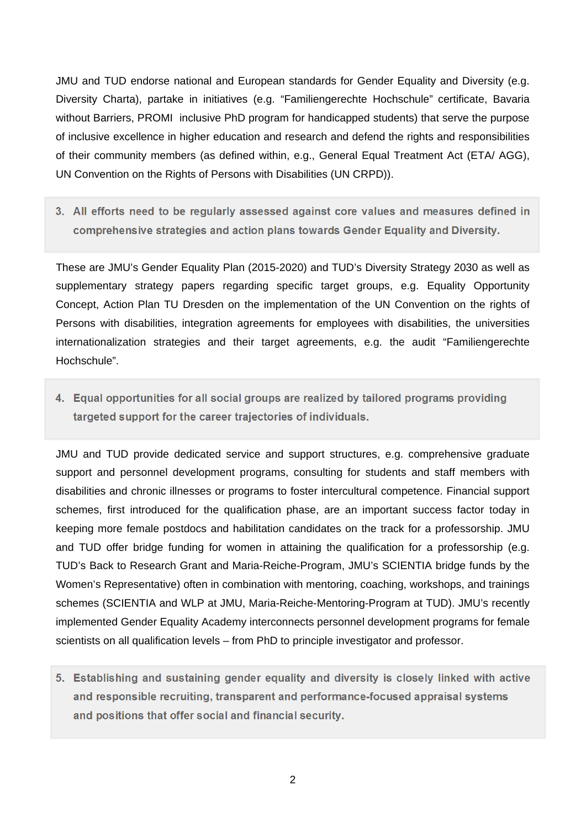JMU and TUD endorse national and European standards for Gender Equality and Diversity (e.g. Diversity Charta), partake in initiatives (e.g. "Familiengerechte Hochschule" certificate, Bavaria without Barriers, PROMI inclusive PhD program for handicapped students) that serve the purpose of inclusive excellence in higher education and research and defend the rights and responsibilities of their community members (as defined within, e.g., General Equal Treatment Act (ETA/ AGG), UN Convention on the Rights of Persons with Disabilities (UN CRPD)).

**3. All efforts need to be regularly assessed against core values and measures defined in comprehensive strategies and action plans towards Gender Equality and Diversity.** 

These are JMU's Gender Equality Plan (2015-2020) and TUD's Diversity Strategy 2030 as well as supplementary strategy papers regarding specific target groups, e.g. Equality Opportunity Concept, Action Plan TU Dresden on the implementation of the UN Convention on the rights of Persons with disabilities, integration agreements for employees with disabilities, the universities internationalization strategies and their target agreements, e.g. the audit "Familiengerechte Hochschule".

**4. Equal opportunities for all social groups are realized by tailored programs providing targeted support for the career trajectories of individuals.**

JMU and TUD provide dedicated service and support structures, e.g. comprehensive graduate support and personnel development programs, consulting for students and staff members with disabilities and chronic illnesses or programs to foster intercultural competence. Financial support schemes, first introduced for the qualification phase, are an important success factor today in keeping more female postdocs and habilitation candidates on the track for a professorship. JMU and TUD offer bridge funding for women in attaining the qualification for a professorship (e.g. TUD's Back to Research Grant and Maria-Reiche-Program, JMU's SCIENTIA bridge funds by the Women's Representative) often in combination with mentoring, coaching, workshops, and trainings schemes (SCIENTIA and WLP at JMU, Maria-Reiche-Mentoring-Program at TUD). JMU's recently implemented Gender Equality Academy interconnects personnel development programs for female scientists on all qualification levels – from PhD to principle investigator and professor.

**5. Establishing and sustaining gender equality and diversity is closely linked with active and responsible recruiting, transparent and performance-focused appraisal systems and positions that offer social and financial security.**